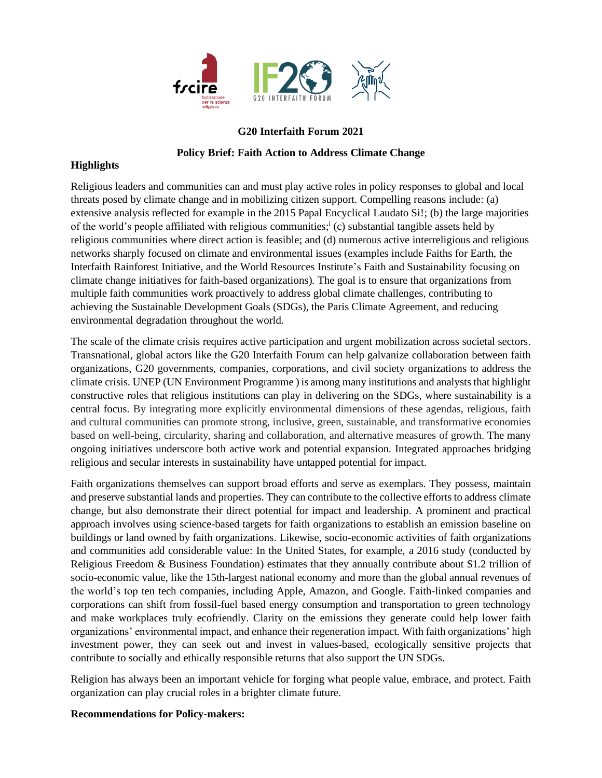

## **G20 Interfaith Forum 2021**

## **Policy Brief: Faith Action to Address Climate Change**

## **Highlights**

Religious leaders and communities can and must play active roles in policy responses to global and local threats posed by climate change and in mobilizing citizen support. Compelling reasons include: (a) extensive analysis reflected for example in the 2015 Papal Encyclical Laudato Si!; (b) the large majorities of the world's people affiliated with religious communities;<sup>i</sup> (c) substantial tangible assets held by religious communities where direct action is feasible; and (d) numerous active interreligious and religious networks sharply focused on climate and environmental issues (examples include Faiths for Earth, the Interfaith Rainforest Initiative, and the World Resources Institute's Faith and Sustainability focusing on climate change initiatives for faith-based organizations). The goal is to ensure that organizations from multiple faith communities work proactively to address global climate challenges, contributing to achieving the Sustainable Development Goals (SDGs), the Paris Climate Agreement, and reducing environmental degradation throughout the world.

The scale of the climate crisis requires active participation and urgent mobilization across societal sectors. Transnational, global actors like the G20 Interfaith Forum can help galvanize collaboration between faith organizations, G20 governments, companies, corporations, and civil society organizations to address the climate crisis. UNEP (UN Environment Programme ) is among many institutions and analysts that highlight constructive roles that religious institutions can play in delivering on the SDGs, where sustainability is a central focus. By integrating more explicitly environmental dimensions of these agendas, religious, faith and cultural communities can promote strong, inclusive, green, sustainable, and transformative economies based on well-being, circularity, sharing and collaboration, and alternative measures of growth. The many ongoing initiatives underscore both active work and potential expansion. Integrated approaches bridging religious and secular interests in sustainability have untapped potential for impact.

Faith organizations themselves can support broad efforts and serve as exemplars. They possess, maintain and preserve substantial lands and properties. They can contribute to the collective efforts to address climate change, but also demonstrate their direct potential for impact and leadership. A prominent and practical approach involves using science-based targets for faith organizations to establish an emission baseline on buildings or land owned by faith organizations. Likewise, socio-economic activities of faith organizations and communities add considerable value: In the United States, for example, a 2016 study (conducted by Religious Freedom & Business Foundation) estimates that they annually contribute about \$1.2 trillion of socio-economic value, like the 15th-largest national economy and more than the global annual revenues of the world's top ten tech companies, including Apple, Amazon, and Google. Faith-linked companies and corporations can shift from fossil-fuel based energy consumption and transportation to green technology and make workplaces truly ecofriendly. Clarity on the emissions they generate could help lower faith organizations' environmental impact, and enhance their regeneration impact. With faith organizations' high investment power, they can seek out and invest in values-based, ecologically sensitive projects that contribute to socially and ethically responsible returns that also support the UN SDGs.

Religion has always been an important vehicle for forging what people value, embrace, and protect. Faith organization can play crucial roles in a brighter climate future.

## **Recommendations for Policy-makers:**